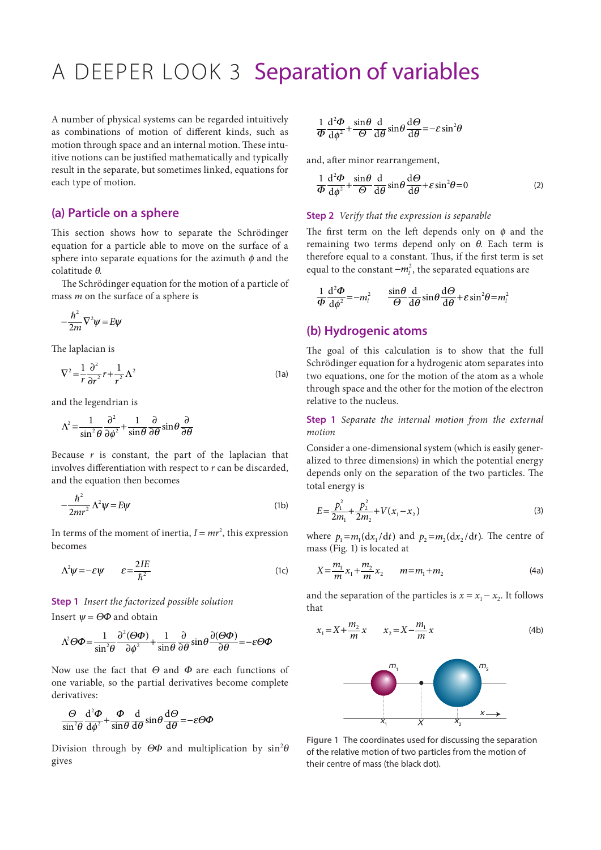# A DEEPER LOOK 3 Separation of variables

A number of physical systems can be regarded intuitively as combinations of motion of different kinds, such as motion through space and an internal motion. These intuitive notions can be justified mathematically and typically result in the separate, but sometimes linked, equations for each type of motion.

# **(a) Particle on a sphere**

This section shows how to separate the Schrödinger equation for a particle able to move on the surface of a sphere into separate equations for the azimuth  $\phi$  and the colatitude θ.

The Schrödinger equation for the motion of a particle of mass *m* on the surface of a sphere is

$$
-\frac{\hbar^2}{2m}\nabla^2\psi = E\psi
$$

The laplacian is

$$
\nabla^2 = \frac{1}{r} \frac{\partial^2}{\partial r^2} r + \frac{1}{r^2} \Lambda^2
$$
 (1a)

and the legendrian is

$$
\Lambda^2 = \frac{1}{\sin^2 \theta} \frac{\partial^2}{\partial \phi^2} + \frac{1}{\sin \theta} \frac{\partial}{\partial \theta} \sin \theta \frac{\partial}{\partial \theta}
$$

Because *r* is constant, the part of the laplacian that involves differentiation with respect to *r* can be discarded, and the equation then becomes

$$
-\frac{\hbar^2}{2mr^2}\Lambda^2\psi = E\psi
$$
 (1b)

In terms of the moment of inertia,  $I = mr^2$ , this expression becomes

$$
\Lambda^2 \psi = -\varepsilon \psi \qquad \varepsilon = \frac{2IE}{\hbar^2} \tag{1c}
$$

## **Step 1** *Insert the factorized possible solution*

Insert  $\psi = \Theta \Phi$  and obtain

$$
\Lambda^2 \Theta \Phi = \frac{1}{\sin^2 \theta} \frac{\partial^2 (\Theta \Phi)}{\partial \phi^2} + \frac{1}{\sin \theta} \frac{\partial}{\partial \theta} \sin \theta \frac{\partial (\Theta \Phi)}{\partial \theta} = -\varepsilon \Theta \Phi
$$

Now use the fact that  $\Theta$  and  $\Phi$  are each functions of one variable, so the partial derivatives become complete derivatives:

$$
\frac{\Theta}{\sin^2\theta} \frac{d^2\Phi}{d\phi^2} + \frac{\Phi}{\sin\theta} \frac{d}{d\theta} \sin\theta \frac{d\Theta}{d\theta} = -\varepsilon\Theta\Phi
$$

Division through by  $\Theta\Phi$  and multiplication by  $\sin^2\theta$ gives

$$
\frac{1}{\Phi} \frac{d^2 \Phi}{d\phi^2} + \frac{\sin \theta}{\Theta} \frac{d}{d\theta} \sin \theta \frac{d\Theta}{d\theta} = -\varepsilon \sin^2 \theta
$$

and, after minor rearrangement,

$$
\frac{1}{\Phi} \frac{d^2 \Phi}{d\phi^2} + \frac{\sin \theta}{\Theta} \frac{d}{d\theta} \sin \theta \frac{d\Theta}{d\theta} + \varepsilon \sin^2 \theta = 0
$$
 (2)

## **Step 2** *Verify that the expression is separable*

The first term on the left depends only on  $\phi$  and the remaining two terms depend only on  $\theta$ . Each term is therefore equal to a constant. Thus, if the first term is set equal to the constant  $-m_l^2$ , the separated equations are

$$
\frac{1}{\Phi} \frac{d^2 \Phi}{d\phi^2} = -m_l^2 \qquad \frac{\sin \theta}{\Theta} \frac{d}{d\theta} \sin \theta \frac{d\Theta}{d\theta} + \varepsilon \sin^2 \theta = m_l^2
$$

# **(b) Hydrogenic atoms**

The goal of this calculation is to show that the full Schrödinger equation for a hydrogenic atom separates into two equations, one for the motion of the atom as a whole through space and the other for the motion of the electron relative to the nucleus.

**Step 1** *Separate the internal motion from the external motion*

Consider a one-dimensional system (which is easily generalized to three dimensions) in which the potential energy depends only on the separation of the two particles. The total energy is

$$
E = \frac{p_1^2}{2m_1} + \frac{p_2^2}{2m_2} + V(x_1 - x_2)
$$
 (3)

where  $p_1 = m_1(\mathrm{d}x_1/\mathrm{d}t)$  and  $p_2 = m_2(\mathrm{d}x_2/\mathrm{d}t)$ . The centre of mass (Fig. 1) is located at

$$
X = \frac{m_1}{m} x_1 + \frac{m_2}{m} x_2 \qquad m = m_1 + m_2 \tag{4a}
$$

and the separation of the particles is  $x = x_1 - x_2$ . It follows that

$$
x_1 = X + \frac{m_2}{m} x \qquad x_2 = X - \frac{m_1}{m} x \tag{4b}
$$



**Figure 1** The coordinates used for discussing the separation of the relative motion of two particles from the motion of their centre of mass (the black dot).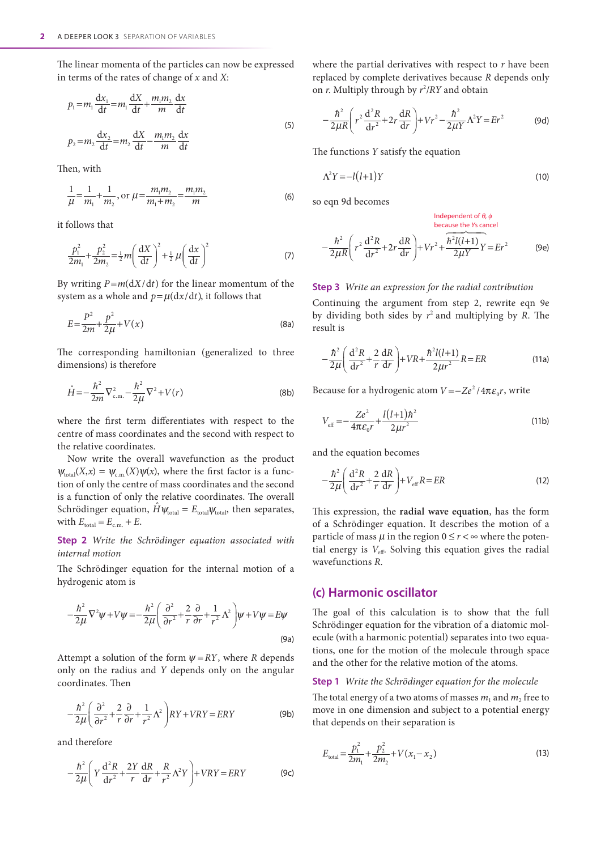The linear momenta of the particles can now be expressed in terms of the rates of change of *x* and *X*:

$$
p_1 = m_1 \frac{dx_1}{dt} = m_1 \frac{dX}{dt} + \frac{m_1 m_2}{m} \frac{dx}{dt}
$$
  

$$
p_2 = m_2 \frac{dx_2}{dt} = m_2 \frac{dX}{dt} - \frac{m_1 m_2}{m} \frac{dx}{dt}
$$
 (5)

Then, with

$$
\frac{1}{\mu} = \frac{1}{m_1} + \frac{1}{m_2}, \text{ or } \mu = \frac{m_1 m_2}{m_1 + m_2} = \frac{m_1 m_2}{m}
$$
(6)

it follows that

$$
\frac{p_1^2}{2m_1} + \frac{p_2^2}{2m_2} = \frac{1}{2}m \left(\frac{dX}{dt}\right)^2 + \frac{1}{2}\mu \left(\frac{dx}{dt}\right)^2
$$
 (7)

By writing  $P = m(dX/dt)$  for the linear momentum of the system as a whole and  $p = \mu(dx/dt)$ , it follows that

$$
E = \frac{P^2}{2m} + \frac{p^2}{2\mu} + V(x)
$$
 (8a)

The corresponding hamiltonian (generalized to three dimensions) is therefore

$$
\hat{H} = -\frac{\hbar^2}{2m} \nabla_{\text{c.m.}}^2 - \frac{\hbar^2}{2\mu} \nabla^2 + V(r)
$$
 (8b)

where the first term differentiates with respect to the centre of mass coordinates and the second with respect to the relative coordinates.

Now write the overall wavefunction as the product  $\Psi_{total}(X,x) = \Psi_{c,m}(X)\Psi(x)$ , where the first factor is a function of only the centre of mass coordinates and the second is a function of only the relative coordinates. The overall Schrödinger equation,  $H\psi_{\text{total}} = E_{\text{total}}\psi_{\text{total}}$ , then separates, with  $E_{\text{total}} = E_{\text{c.m.}} + E$ .

**Step 2** *Write the Schrödinger equation associated with internal motion*

The Schrödinger equation for the internal motion of a hydrogenic atom is

$$
-\frac{\hbar^2}{2\mu}\nabla^2\psi + V\psi = -\frac{\hbar^2}{2\mu}\left(\frac{\partial^2}{\partial r^2} + \frac{2}{r}\frac{\partial}{\partial r} + \frac{1}{r^2}\Lambda^2\right)\psi + V\psi = E\psi
$$
\n(9a)

Attempt a solution of the form  $\psi = RY$ , where *R* depends only on the radius and *Y* depends only on the angular coordinates. Then

$$
-\frac{\hbar^2}{2\mu} \left( \frac{\partial^2}{\partial r^2} + \frac{2}{r} \frac{\partial}{\partial r} + \frac{1}{r^2} \Lambda^2 \right) RY + VRY = ERY
$$
 (9b)

and therefore

$$
-\frac{\hbar^2}{2\mu}\left(Y\frac{\mathrm{d}^2R}{\mathrm{d}r^2} + \frac{2Y}{r}\frac{\mathrm{d}R}{\mathrm{d}r} + \frac{R}{r^2}\Lambda^2Y\right) + VRY = ERY\tag{9c}
$$

where the partial derivatives with respect to *r* have been replaced by complete derivatives because *R* depends only on *r*. Multiply through by *r* 2 /*RY* and obtain

$$
-\frac{\hbar^2}{2\mu R}\left(r^2\frac{d^2R}{dr^2}+2r\frac{dR}{dr}\right)+Vr^2-\frac{\hbar^2}{2\mu Y}\Lambda^2Y=Er^2\tag{9d}
$$

The functions *Y* satisfy the equation

$$
\Lambda^2 Y = -l(l+1)Y\tag{10}
$$

so eqn 9d becomes

$$
-\frac{\hbar^2}{2\mu R}\left(r^2\frac{d^2R}{dr^2}+2r\frac{dR}{dr}\right)+Vr^2+\frac{\hbar^2l(l+1)}{2\mu Y}Y=Er^2
$$
 (9e)

 $Indomodont$  of  $\theta$ ,  $\phi$ 

### **Step 3** *Write an expression for the radial contribution*

Continuing the argument from step 2, rewrite eqn 9e by dividing both sides by *r* <sup>2</sup> and multiplying by *R*. The result is

$$
-\frac{\hbar^2}{2\mu} \left( \frac{d^2 R}{dr^2} + \frac{2}{r} \frac{dR}{dr} \right) + VR + \frac{\hbar^2 l(l+1)}{2\mu r^2} R = ER
$$
 (11a)

Because for a hydrogenic atom  $V = -Ze^2/4\pi \varepsilon_0 r$ , write

$$
V_{\text{eff}} = -\frac{Ze^2}{4\pi\varepsilon_0 r} + \frac{l(l+1)\hbar^2}{2\mu r^2}
$$
 (11b)

and the equation becomes

$$
-\frac{\hbar^2}{2\mu} \left( \frac{\mathrm{d}^2 R}{\mathrm{d}r^2} + \frac{2}{r} \frac{\mathrm{d}R}{\mathrm{d}r} \right) + V_{\text{eff}} R = ER \tag{12}
$$

This expression, the **radial wave equation**, has the form of a Schrödinger equation. It describes the motion of a particle of mass  $\mu$  in the region  $0 \le r < \infty$  where the potential energy is  $V_{\text{eff}}$ . Solving this equation gives the radial wavefunctions *R*.

# **(c) Harmonic oscillator**

The goal of this calculation is to show that the full Schrödinger equation for the vibration of a diatomic molecule (with a harmonic potential) separates into two equations, one for the motion of the molecule through space and the other for the relative motion of the atoms.

**Step 1** *Write the Schrödinger equation for the molecule*

The total energy of a two atoms of masses  $m_1$  and  $m_2$  free to move in one dimension and subject to a potential energy that depends on their separation is

$$
E_{\text{total}} = \frac{p_1^2}{2m_1} + \frac{p_2^2}{2m_2} + V(x_1 - x_2)
$$
\n(13)